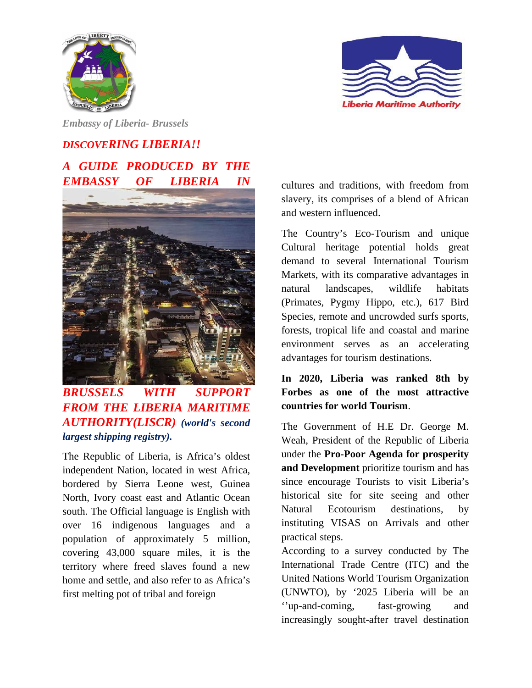



*Embassy of Liberia- Brussels* 

## *DISCOVERING LIBERIA!! A GUIDE PRODUCED BY THE EMBASSY OF LIBERIA IN*



*BRUSSELS WITH SUPPORT FROM THE LIBERIA MARITIME AUTHORITY(LISCR) (world's second largest shipping registry).* 

The Republic of Liberia, is Africa's oldest independent Nation, located in west Africa, bordered by Sierra Leone west, Guinea North, Ivory coast east and Atlantic Ocean south. The Official language is English with over 16 indigenous languages and a population of approximately 5 million, covering 43,000 square miles, it is the territory where freed slaves found a new home and settle, and also refer to as Africa's first melting pot of tribal and foreign

cultures and traditions, with freedom from slavery, its comprises of a blend of African and western influenced.

The Country's Eco-Tourism and unique Cultural heritage potential holds great demand to several International Tourism Markets, with its comparative advantages in natural landscapes, wildlife habitats (Primates, Pygmy Hippo, etc.), 617 Bird Species, remote and uncrowded surfs sports, forests, tropical life and coastal and marine environment serves as an accelerating advantages for tourism destinations.

## **In 2020, Liberia was ranked 8th by Forbes as one of the most attractive countries for world Tourism**.

The Government of H.E Dr. George M. Weah, President of the Republic of Liberia under the **Pro-Poor Agenda for prosperity and Development** prioritize tourism and has since encourage Tourists to visit Liberia's historical site for site seeing and other Natural Ecotourism destinations, by instituting VISAS on Arrivals and other practical steps.

According to a survey conducted by The International Trade Centre (ITC) and the United Nations World Tourism Organization (UNWTO), by '2025 Liberia will be an ''up-and-coming, fast-growing and increasingly sought-after travel destination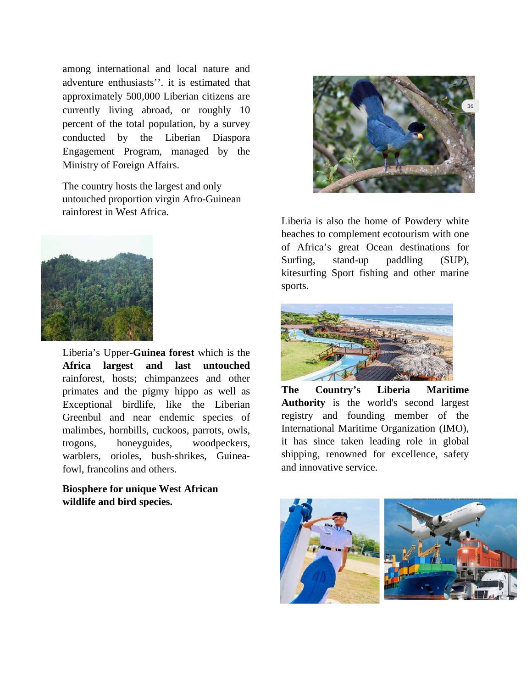among international and local nature and adventure enthusiasts''. it is estimated that approximately 500,000 Liberian citizens are currently living abroad, or roughly 10 percent of the total population, by a survey conducted by the Liberian Diaspora Engagement Program, managed by the Ministry of Foreign Affairs.

The country hosts the largest and only untouched proportion virgin Afro-Guinean rainforest in West Africa.



Liberia's Upper**-Guinea forest** which is the **Africa largest and last untouched** rainforest, hosts; chimpanzees and other primates and the pigmy hippo as well as Exceptional birdlife, like the Liberian Greenbul and near endemic species of malimbes, hornbills, cuckoos, parrots, owls, trogons, honeyguides, woodpeckers, warblers, orioles, bush-shrikes, Guineafowl, francolins and others.

**Biosphere for unique West African wildlife and bird species.** 



Liberia is also the home of Powdery white beaches to complement ecotourism with one of Africa's great Ocean destinations for Surfing, stand-up paddling (SUP), kitesurfing Sport fishing and other marine sports.



**The Country's Liberia Maritime Authority** is the world's second largest registry and founding member of the International Maritime Organization (IMO), it has since taken leading role in global shipping, renowned for excellence, safety and innovative service.